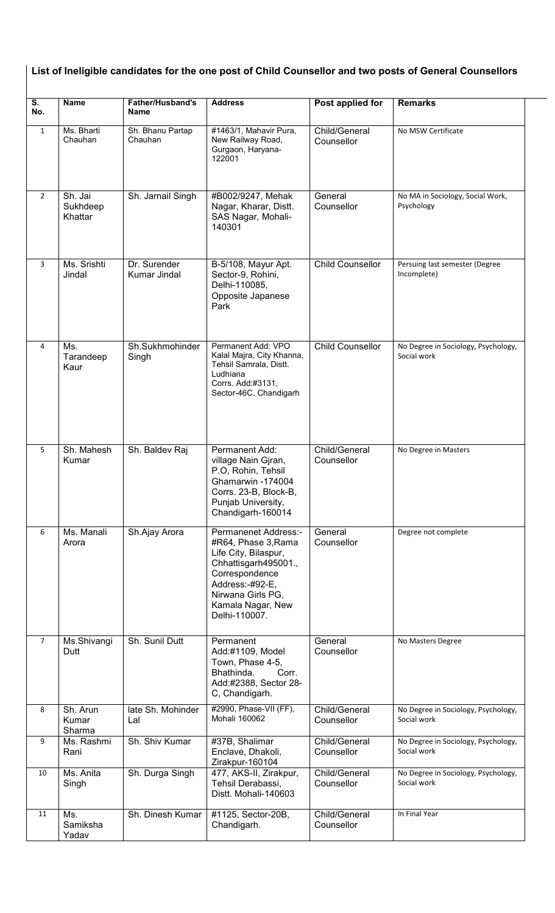| $\overline{\mathsf{s}}$ .<br>No. | <b>Name</b>                    | <b>Father/Husband's</b><br><b>Name</b> | <b>Address</b>                                                                                                                                                                              | Post applied for            | <b>Remarks</b>                                     |
|----------------------------------|--------------------------------|----------------------------------------|---------------------------------------------------------------------------------------------------------------------------------------------------------------------------------------------|-----------------------------|----------------------------------------------------|
| $\mathbf{1}$                     | Ms. Bharti<br>Chauhan          | Sh. Bhanu Partap<br>Chauhan            | #1463/1, Mahavir Pura,<br>New Railway Road,<br>Gurgaon, Haryana-<br>122001                                                                                                                  | Child/General<br>Counsellor | No MSW Certificate                                 |
| $\overline{2}$                   | Sh. Jai<br>Sukhdeep<br>Khattar | Sh. Jarnail Singh                      | #B002/9247, Mehak<br>Nagar, Kharar, Distt.<br>SAS Nagar, Mohali-<br>140301                                                                                                                  | General<br>Counsellor       | No MA in Sociology, Social Work,<br>Psychology     |
| 3                                | Ms. Srishti<br>Jindal          | Dr. Surender<br>Kumar Jindal           | B-5/108, Mayur Apt.<br>Sector-9, Rohini,<br>Delhi-110085,<br>Opposite Japanese<br>Park                                                                                                      | <b>Child Counsellor</b>     | Persuing last semester (Degree<br>Incomplete)      |
| 4                                | Ms.<br>Tarandeep<br>Kaur       | Sh.Sukhmohinder<br>Singh               | Permanent Add: VPO<br>Kalal Majra, City Khanna,<br>Tehsil Samrala, Distt.<br>Ludhiana<br>Corrs. Add:#3131,<br>Sector-46C, Chandigarh                                                        | <b>Child Counsellor</b>     | No Degree in Sociology, Psychology,<br>Social work |
| 5                                | Sh. Mahesh<br>Kumar            | Sh. Baldev Raj                         | Permanent Add:<br>village Nain Gjran,<br>P.O, Rohin, Tehsil<br>Ghamarwin -174004<br>Corrs. 23-B, Block-B,<br>Punjab University,<br>Chandigarh-160014                                        | Child/General<br>Counsellor | No Degree in Masters                               |
| 6                                | Ms. Manali<br>Arora            | Sh.Ajay Arora                          | Permanenet Address:-<br>#R64, Phase 3, Rama<br>Life City, Bilaspur,<br>Chhattisgarh495001.,<br>Correspondence<br>Address:-#92-E,<br>Nirwana Girls PG,<br>Kamala Nagar, New<br>Delhi-110007. | General<br>Counsellor       | Degree not complete                                |
| $\overline{7}$                   | Ms.Shivangi<br>Dutt            | Sh. Sunil Dutt                         | Permanent<br>Add:#1109, Model<br>Town, Phase 4-5,<br>Bhathinda.<br>Corr.<br>Add:#2388, Sector 28-<br>C, Chandigarh.                                                                         | General<br>Counsellor       | No Masters Degree                                  |
| 8                                | Sh. Arun<br>Kumar<br>Sharma    | late Sh. Mohinder<br>Lal               | #2990, Phase-VII (FF),<br>Mohali 160062                                                                                                                                                     | Child/General<br>Counsellor | No Degree in Sociology, Psychology,<br>Social work |
| 9                                | Ms. Rashmi<br>Rani             | Sh. Shiv Kumar                         | #37B, Shalimar<br>Enclave, Dhakoli,<br>Zirakpur-160104                                                                                                                                      | Child/General<br>Counsellor | No Degree in Sociology, Psychology,<br>Social work |
| 10                               | Ms. Anita<br>Singh             | Sh. Durga Singh                        | 477, AKS-II, Zirakpur,<br>Tehsil Derabassi,<br>Distt. Mohali-140603                                                                                                                         | Child/General<br>Counsellor | No Degree in Sociology, Psychology,<br>Social work |
| 11                               | Ms.<br>Samiksha<br>Yadav       | Sh. Dinesh Kumar                       | #1125, Sector-20B,<br>Chandigarh.                                                                                                                                                           | Child/General<br>Counsellor | In Final Year                                      |

## $\mid$  List of Ineligible candidates for the one post of Child Counsellor and two posts of General Counsellors